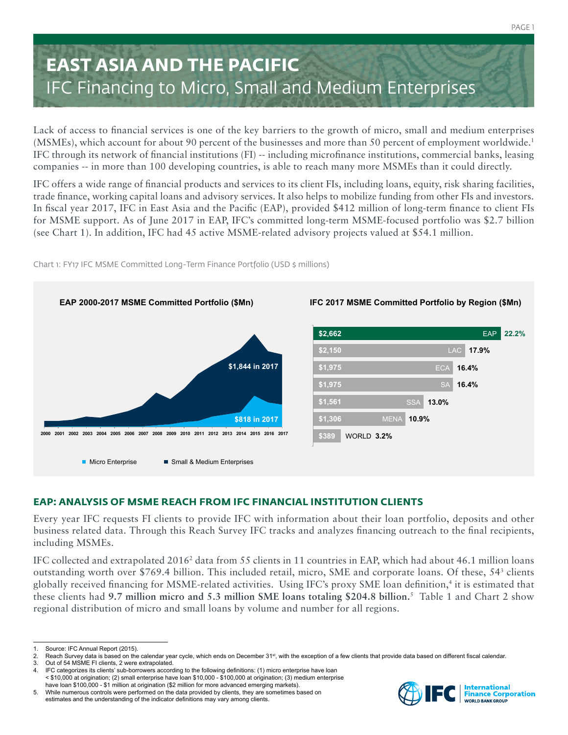# **EAST ASIA AND THE PACIFIC** IFC Financing to Micro, Small and Medium Enterprises

Lack of access to financial services is one of the key barriers to the growth of micro, small and medium enterprises (MSMEs), which account for about 90 percent of the businesses and more than 50 percent of employment worldwide.1 IFC through its network of financial institutions (FI) -- including microfinance institutions, commercial banks, leasing companies -- in more than 100 developing countries, is able to reach many more MSMEs than it could directly.

IFC offers a wide range of financial products and services to its client FIs, including loans, equity, risk sharing facilities, trade finance, working capital loans and advisory services. It also helps to mobilize funding from other FIs and investors. In fiscal year 2017, IFC in East Asia and the Pacific (EAP), provided \$412 million of long-term finance to client FIs for MSME support. As of June 2017 in EAP, IFC's committed long-term MSME-focused portfolio was \$2.7 billion (see Chart 1). In addition, IFC had 45 active MSME-related advisory projects valued at \$54.1 million.



Chart 1: FY17 IFC MSME Committed Long-Term Finance Portfolio (USD \$ millions)

## **EAP: ANALYSIS OF MSME REACH FROM IFC FINANCIAL INSTITUTION CLIENTS**

Every year IFC requests FI clients to provide IFC with information about their loan portfolio, deposits and other business related data. Through this Reach Survey IFC tracks and analyzes financing outreach to the final recipients, including MSMEs.

IFC collected and extrapolated 2016<sup>2</sup> data from 55 clients in 11 countries in EAP, which had about 46.1 million loans outstanding worth over \$769.4 billion. This included retail, micro, SME and corporate loans. Of these, 54<sup>3</sup> clients globally received financing for MSME-related activities. Using IFC's proxy SME loan definition,4 it is estimated that these clients had **9.7 million micro and 5.3 million SME loans totaling \$204.8 billion.**<sup>5</sup> Table 1 and Chart 2 show regional distribution of micro and small loans by volume and number for all regions.



<sup>1.</sup> Source: IFC Annual Report (2015).<br>2. Reach Survey data is based on the

Reach Survey data is based on the calendar year cycle, which ends on December 31st, with the exception of a few clients that provide data based on different fiscal calendar.

<sup>3.</sup> Out of 54 MSME FI clients, 2 were extrapolated.<br>4. IFC categorizes its clients' sub-borrowers accord

<sup>4.</sup> IFC categorizes its clients' sub-borrowers according to the following definitions: (1) micro enterprise have loan < \$10,000 at origination; (2) small enterprise have loan \$10,000 - \$100,000 at origination; (3) medium enterprise have loan \$100,000 - \$1 million at origination (\$2 million for more advanced emerging markets).

<sup>5.</sup> While numerous controls were performed on the data provided by clients, they are sometimes based on estimates and the understanding of the indicator definitions may vary among clients.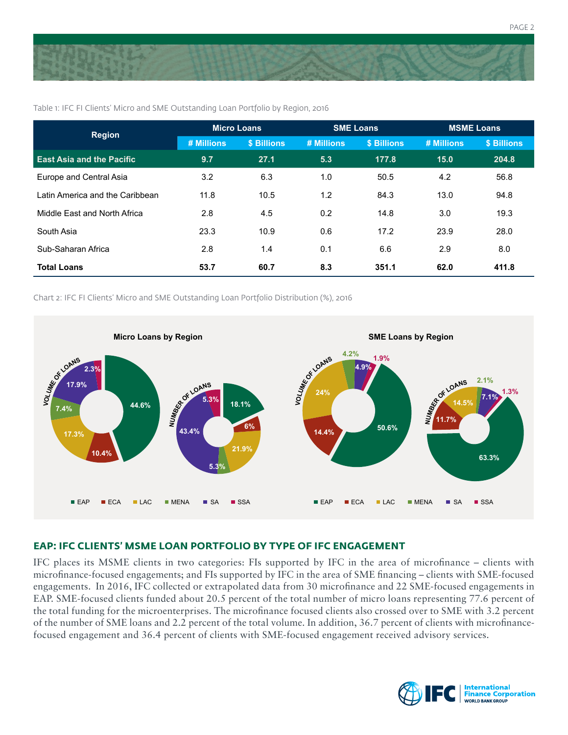

| <b>Region</b>                    | <b>Micro Loans</b> |             | <b>SME Loans</b> |             | <b>MSME Loans</b> |             |
|----------------------------------|--------------------|-------------|------------------|-------------|-------------------|-------------|
|                                  | # Millions         | \$ Billions | # Millions       | \$ Billions | # Millions        | \$ Billions |
| <b>East Asia and the Pacific</b> | 9.7                | 27.1        | 5.3              | 177.8       | 15.0              | 204.8       |
| Europe and Central Asia          | 3.2                | 6.3         | 1.0              | 50.5        | 4.2               | 56.8        |
| Latin America and the Caribbean  | 11.8               | 10.5        | 1.2              | 84.3        | 13.0              | 94.8        |
| Middle East and North Africa     | 2.8                | 4.5         | 0.2              | 14.8        | 3.0               | 19.3        |
| South Asia                       | 23.3               | 10.9        | 0.6              | 17.2        | 23.9              | 28.0        |
| Sub-Saharan Africa               | 2.8                | 1.4         | 0.1              | 6.6         | 2.9               | 8.0         |
| <b>Total Loans</b>               | 53.7               | 60.7        | 8.3              | 351.1       | 62.0              | 411.8       |

Table 1: IFC FI Clients' Micro and SME Outstanding Loan Portfolio by Region, 2016

Chart 2: IFC FI Clients' Micro and SME Outstanding Loan Portfolio Distribution (%), 2016



### **EAP: IFC CLIENTS' MSME LOAN PORTFOLIO BY TYPE OF IFC ENGAGEMENT**

IFC places its MSME clients in two categories: FIs supported by IFC in the area of microfinance – clients with microfinance-focused engagements; and FIs supported by IFC in the area of SME financing – clients with SME-focused engagements. In 2016, IFC collected or extrapolated data from 30 microfinance and 22 SME-focused engagements in EAP. SME-focused clients funded about 20.5 percent of the total number of micro loans representing 77.6 percent of the total funding for the microenterprises. The microfinance focused clients also crossed over to SME with 3.2 percent of the number of SME loans and 2.2 percent of the total volume. In addition, 36.7 percent of clients with microfinancefocused engagement and 36.4 percent of clients with SME-focused engagement received advisory services.



PAGE 2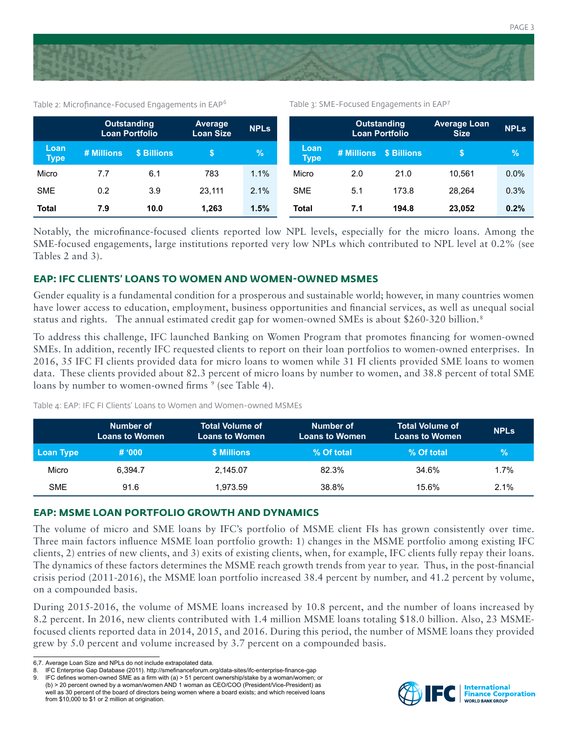

Table 2: Microfinance-Focused Engagements in EAP<sup>6</sup>

Table 3: SME-Focused Engagements in EAP<sup>7</sup>

|                     |            | <b>Outstanding</b><br>Loan Portfolio | <b>Average</b><br><b>Loan Size</b> | <b>NPLS</b> |                     |     | <b>Outstanding</b><br><b>Loan Portfolio</b> | <b>Average Loan</b><br><b>Size</b> | <b>NPLS</b> |
|---------------------|------------|--------------------------------------|------------------------------------|-------------|---------------------|-----|---------------------------------------------|------------------------------------|-------------|
| Loan<br><b>Type</b> | # Millions | \$ Billions                          |                                    | $\%$        | Loan<br><b>Type</b> |     | # Millions \$ Billions                      |                                    | $\%$        |
| Micro               | 7.7        | 6.1                                  | 783                                | 1.1%        | Micro               | 2.0 | 21.0                                        | 10.561                             | 0.0%        |
| <b>SME</b>          | 0.2        | 3.9                                  | 23.111                             | 2.1%        | <b>SME</b>          | 5.1 | 173.8                                       | 28.264                             | 0.3%        |
| <b>Total</b>        | 7.9        | 10.0                                 | 1.263                              | 1.5%        | <b>Total</b>        | 7.1 | 194.8                                       | 23.052                             | 0.2%        |

Notably, the microfinance-focused clients reported low NPL levels, especially for the micro loans. Among the SME-focused engagements, large institutions reported very low NPLs which contributed to NPL level at 0.2% (see Tables 2 and 3).

#### **EAP: IFC CLIENTS' LOANS TO WOMEN AND WOMEN-OWNED MSMES**

Gender equality is a fundamental condition for a prosperous and sustainable world; however, in many countries women have lower access to education, employment, business opportunities and financial services, as well as unequal social status and rights. The annual estimated credit gap for women-owned SMEs is about \$260-320 billion.8

To address this challenge, IFC launched Banking on Women Program that promotes financing for women-owned SMEs. In addition, recently IFC requested clients to report on their loan portfolios to women-owned enterprises. In 2016, 35 IFC FI clients provided data for micro loans to women while 31 FI clients provided SME loans to women data. These clients provided about 82.3 percent of micro loans by number to women, and 38.8 percent of total SME loans by number to women-owned firms <sup>9</sup> (see Table 4).

|            | Number of<br><b>Loans to Women</b> | <b>Total Volume of</b><br><b>Loans to Women</b> | Number of<br><b>Loans to Women</b> | <b>Total Volume of</b><br><b>Loans to Women</b> | <b>NPLs</b> |
|------------|------------------------------------|-------------------------------------------------|------------------------------------|-------------------------------------------------|-------------|
| Loan Type  | # 000                              | \$ Millions                                     | % Of total                         | % Of total                                      | $\%$        |
| Micro      | 6.394.7                            | 2.145.07                                        | 82.3%                              | 34.6%                                           | 1.7%        |
| <b>SME</b> | 91.6                               | 1.973.59                                        | 38.8%                              | 15.6%                                           | $2.1\%$     |

Table 4: EAP: IFC FI Clients' Loans to Women and Women-owned MSMEs

#### **EAP: MSME LOAN PORTFOLIO GROWTH AND DYNAMICS**

The volume of micro and SME loans by IFC's portfolio of MSME client FIs has grown consistently over time. Three main factors influence MSME loan portfolio growth: 1) changes in the MSME portfolio among existing IFC clients, 2) entries of new clients, and 3) exits of existing clients, when, for example, IFC clients fully repay their loans. The dynamics of these factors determines the MSME reach growth trends from year to year. Thus, in the post-financial crisis period (2011-2016), the MSME loan portfolio increased 38.4 percent by number, and 41.2 percent by volume, on a compounded basis.

During 2015-2016, the volume of MSME loans increased by 10.8 percent, and the number of loans increased by 8.2 percent. In 2016, new clients contributed with 1.4 million MSME loans totaling \$18.0 billion. Also, 23 MSMEfocused clients reported data in 2014, 2015, and 2016. During this period, the number of MSME loans they provided grew by 5.0 percent and volume increased by 3.7 percent on a compounded basis.



<sup>6,7.</sup> Average Loan Size and NPLs do not include extrapolated data.

<sup>8.</sup> IFC Enterprise Gap Database (2011). http://smefinanceforum.org/data-sites/ifc-enterprise-finance-gap

<sup>9.</sup> IFC defines women-owned SME as a firm with (a) > 51 percent ownership/stake by a woman/women; or (b) > 20 percent owned by a woman/women AND 1 woman as CEO/COO (President/Vice-President) as well as 30 percent of the board of directors being women where a board exists; and which received loans from \$10,000 to \$1 or 2 million at origination.